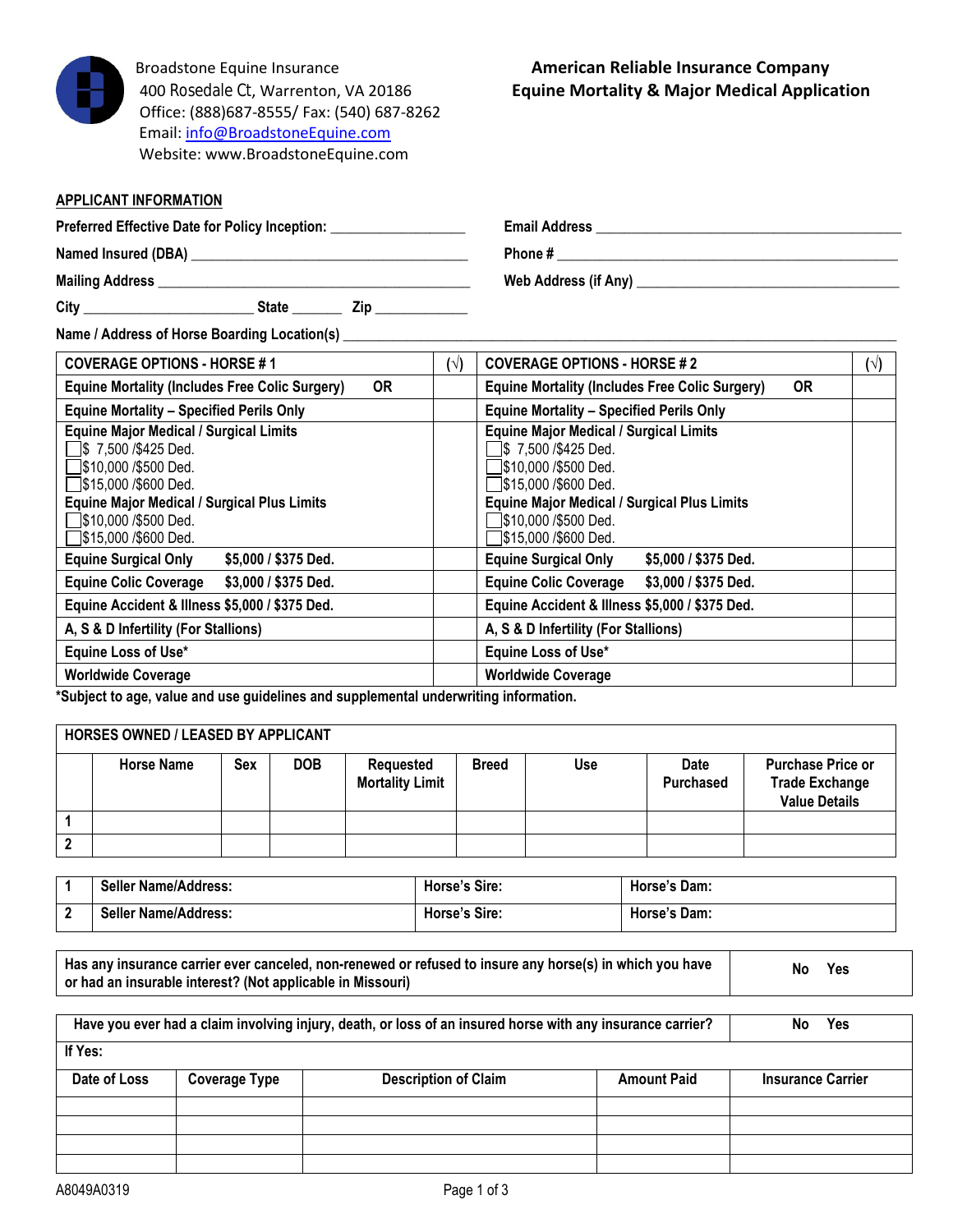

Broadstone Equine Insurance **American Reliable Insurance Company** Office: (888)687-8555/ Fax: (540) 687-8262 Email: [info@BroadstoneEquine.com](mailto:info@BroadstoneEquine.com)  Website: [www.BroadstoneEquine.com](http://www.broadstoneequine.com/)

## **APPLICANT INFORMATION**

**Preferred Effective Date for Policy Inception: \_\_\_\_\_\_\_\_\_\_\_\_\_\_\_\_\_\_\_ Email Address \_\_\_\_\_\_\_\_\_\_\_\_\_\_\_\_\_\_\_\_\_\_\_\_\_\_\_\_\_\_\_\_\_\_\_\_\_\_\_\_\_\_\_**

**Named Insured (DBA) \_\_\_\_\_\_\_\_\_\_\_\_\_\_\_\_\_\_\_\_\_\_\_\_\_\_\_\_\_\_\_\_\_\_\_\_\_\_\_ Phone # \_\_\_\_\_\_\_\_\_\_\_\_\_\_\_\_\_\_\_\_\_\_\_\_\_\_\_\_\_\_\_\_\_\_\_\_\_\_\_\_\_\_\_\_\_\_\_\_**

**Mailing Address \_\_\_\_\_\_\_\_\_\_\_\_\_\_\_\_\_\_\_\_\_\_\_\_\_\_\_\_\_\_\_\_\_\_\_\_\_\_\_\_\_\_\_\_ Web Address (if Any) \_\_\_\_\_\_\_\_\_\_\_\_\_\_\_\_\_\_\_\_\_\_\_\_\_\_\_\_\_\_\_\_\_\_\_\_\_**

**City \_\_\_\_\_\_\_\_\_\_\_\_\_\_\_\_\_\_\_\_\_\_\_\_ State \_\_\_\_\_\_\_ Zip \_\_\_\_\_\_\_\_\_\_\_\_\_**

**Name / Address of Horse Boarding Location(s) \_\_\_\_\_\_\_\_\_\_\_\_\_\_\_\_\_\_\_\_\_\_\_\_\_\_\_\_\_\_\_\_\_\_\_\_\_\_\_\_\_\_\_\_\_\_\_\_\_\_\_\_\_\_\_\_\_\_\_\_\_\_\_\_\_\_\_\_\_\_\_\_\_\_\_\_\_\_**

| <b>COVERAGE OPTIONS - HORSE #1</b><br>$(\vee)$                     |  | <b>COVERAGE OPTIONS - HORSE #2</b>                                 |  |  |  |
|--------------------------------------------------------------------|--|--------------------------------------------------------------------|--|--|--|
| <b>OR</b><br><b>Equine Mortality (Includes Free Colic Surgery)</b> |  | <b>OR</b><br><b>Equine Mortality (Includes Free Colic Surgery)</b> |  |  |  |
| <b>Equine Mortality - Specified Perils Only</b>                    |  | <b>Equine Mortality - Specified Perils Only</b>                    |  |  |  |
| <b>Equine Major Medical / Surgical Limits</b>                      |  | <b>Equine Major Medical / Surgical Limits</b>                      |  |  |  |
| \$7,500 / \$425 Ded.                                               |  | S 7,500 /\$425 Ded.                                                |  |  |  |
| ◯\$10,000 /\$500 Ded.                                              |  | _\$10,000 /\$500 Ded.                                              |  |  |  |
| S15,000 /\$600 Ded.                                                |  | 门\$15,000 /\$600 Ded.                                              |  |  |  |
| <b>Equine Major Medical / Surgical Plus Limits</b>                 |  | <b>Equine Major Medical / Surgical Plus Limits</b>                 |  |  |  |
| S10,000 /\$500 Ded.                                                |  | ヿ\$10,000 /\$500 Ded.                                              |  |  |  |
| ◯\$15,000 /\$600 Ded.                                              |  | ∫\$15,000 /\$600 Ded.                                              |  |  |  |
| <b>Equine Surgical Only</b><br>\$5,000 / \$375 Ded.                |  | <b>Equine Surgical Only</b><br>\$5,000 / \$375 Ded.                |  |  |  |
| \$3,000 / \$375 Ded.<br><b>Equine Colic Coverage</b>               |  | <b>Equine Colic Coverage</b><br>\$3,000 / \$375 Ded.               |  |  |  |
| Equine Accident & Illness \$5,000 / \$375 Ded.                     |  | Equine Accident & Illness \$5,000 / \$375 Ded.                     |  |  |  |
| A, S & D Infertility (For Stallions)                               |  | A, S & D Infertility (For Stallions)                               |  |  |  |
| Equine Loss of Use*                                                |  | Equine Loss of Use*                                                |  |  |  |
| <b>Worldwide Coverage</b>                                          |  | <b>Worldwide Coverage</b>                                          |  |  |  |

**\*Subject to age, value and use guidelines and supplemental underwriting information.**

| <b>HORSES OWNED / LEASED BY APPLICANT</b> |                   |            |            |                                     |              |            |                          |                                                                           |
|-------------------------------------------|-------------------|------------|------------|-------------------------------------|--------------|------------|--------------------------|---------------------------------------------------------------------------|
|                                           | <b>Horse Name</b> | <b>Sex</b> | <b>DOB</b> | Requested<br><b>Mortality Limit</b> | <b>Breed</b> | <b>Use</b> | <b>Date</b><br>Purchased | <b>Purchase Price or</b><br><b>Trade Exchange</b><br><b>Value Details</b> |
|                                           |                   |            |            |                                     |              |            |                          |                                                                           |
| 2                                         |                   |            |            |                                     |              |            |                          |                                                                           |

| <b>Seller Name/Address:</b> | <b>Horse's Sire:</b> | Horse's Dam: |
|-----------------------------|----------------------|--------------|
| <b>Seller Name/Address:</b> | Horse's Sire:        | Horse's Dam: |

| Has any insurance carrier ever canceled, non-renewed or refused to insure any horse(s) in which you have<br>or had an insurable interest? (Not applicable in Missouri) |                      |                             |                    | Yes<br>Nο                |  |  |
|------------------------------------------------------------------------------------------------------------------------------------------------------------------------|----------------------|-----------------------------|--------------------|--------------------------|--|--|
| Have you ever had a claim involving injury, death, or loss of an insured horse with any insurance carrier?                                                             | Yes<br>Nο            |                             |                    |                          |  |  |
| If Yes:                                                                                                                                                                |                      |                             |                    |                          |  |  |
| Date of Loss                                                                                                                                                           | <b>Coverage Type</b> | <b>Description of Claim</b> | <b>Amount Paid</b> | <b>Insurance Carrier</b> |  |  |
|                                                                                                                                                                        |                      |                             |                    |                          |  |  |
|                                                                                                                                                                        |                      |                             |                    |                          |  |  |
|                                                                                                                                                                        |                      |                             |                    |                          |  |  |
|                                                                                                                                                                        |                      |                             |                    |                          |  |  |

## 400 Rosedale Ct, Warrenton, VA 20186 **Equine Mortality & Major Medical Application**

A8049A0319 **Page 1 of 3**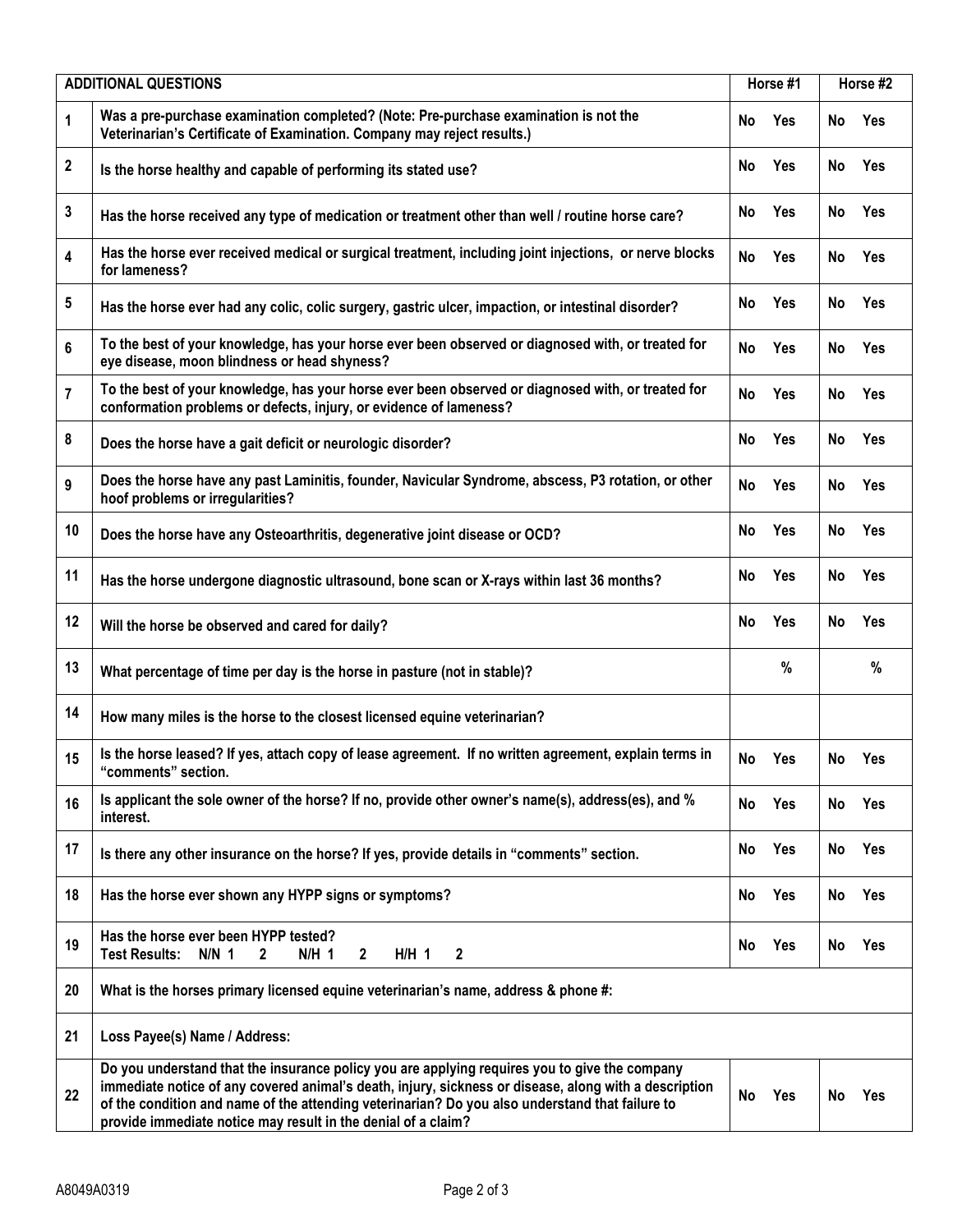| <b>ADDITIONAL QUESTIONS</b> |                                                                                                                                                                                                                                                                                                                                                                            | Horse #1 |            | Horse #2  |            |
|-----------------------------|----------------------------------------------------------------------------------------------------------------------------------------------------------------------------------------------------------------------------------------------------------------------------------------------------------------------------------------------------------------------------|----------|------------|-----------|------------|
| 1                           | Was a pre-purchase examination completed? (Note: Pre-purchase examination is not the<br>Veterinarian's Certificate of Examination. Company may reject results.)                                                                                                                                                                                                            | No       | Yes        | No        | Yes        |
| 2                           | Is the horse healthy and capable of performing its stated use?                                                                                                                                                                                                                                                                                                             | No       | Yes        | No        | Yes        |
| 3                           | Has the horse received any type of medication or treatment other than well / routine horse care?                                                                                                                                                                                                                                                                           | No       | Yes        | No        | Yes        |
| 4                           | Has the horse ever received medical or surgical treatment, including joint injections, or nerve blocks<br>for lameness?                                                                                                                                                                                                                                                    | No       | Yes        | No        | Yes        |
| 5                           | Has the horse ever had any colic, colic surgery, gastric ulcer, impaction, or intestinal disorder?                                                                                                                                                                                                                                                                         | No       | Yes        | <b>No</b> | Yes        |
| 6                           | To the best of your knowledge, has your horse ever been observed or diagnosed with, or treated for<br>eye disease, moon blindness or head shyness?                                                                                                                                                                                                                         | No       | <b>Yes</b> | No        | Yes        |
| 7                           | To the best of your knowledge, has your horse ever been observed or diagnosed with, or treated for<br>conformation problems or defects, injury, or evidence of lameness?                                                                                                                                                                                                   | No       | Yes        | No        | Yes        |
| 8                           | Does the horse have a gait deficit or neurologic disorder?                                                                                                                                                                                                                                                                                                                 | No       | <b>Yes</b> | No        | Yes        |
| 9                           | Does the horse have any past Laminitis, founder, Navicular Syndrome, abscess, P3 rotation, or other<br>hoof problems or irregularities?                                                                                                                                                                                                                                    | No       | Yes        | <b>No</b> | Yes        |
| 10                          | Does the horse have any Osteoarthritis, degenerative joint disease or OCD?                                                                                                                                                                                                                                                                                                 | No       | Yes        | <b>No</b> | Yes        |
| 11                          | Has the horse undergone diagnostic ultrasound, bone scan or X-rays within last 36 months?                                                                                                                                                                                                                                                                                  | No       | Yes        | No        | Yes        |
| 12                          | Will the horse be observed and cared for daily?                                                                                                                                                                                                                                                                                                                            | No       | Yes        | <b>No</b> | Yes        |
| 13                          | What percentage of time per day is the horse in pasture (not in stable)?                                                                                                                                                                                                                                                                                                   |          | %          |           | %          |
| 14                          | How many miles is the horse to the closest licensed equine veterinarian?                                                                                                                                                                                                                                                                                                   |          |            |           |            |
| 15                          | Is the horse leased? If yes, attach copy of lease agreement. If no written agreement, explain terms in<br>'comments" section.                                                                                                                                                                                                                                              | No       | Yes        | No        | Yes        |
| 16                          | Is applicant the sole owner of the horse? If no, provide other owner's name(s), address(es), and %<br>interest.                                                                                                                                                                                                                                                            | No       | Yes        | No        | Yes        |
| 17                          | Is there any other insurance on the horse? If yes, provide details in "comments" section.                                                                                                                                                                                                                                                                                  | No       | Yes        | No        | <b>Yes</b> |
| 18                          | Has the horse ever shown any HYPP signs or symptoms?                                                                                                                                                                                                                                                                                                                       | No       | Yes        | No        | Yes        |
| 19                          | Has the horse ever been HYPP tested?<br>$N/N$ 1<br>$N/H$ 1<br><b>Test Results:</b><br>$\mathbf{2}$<br>$\overline{2}$<br>$H/H$ 1<br>2                                                                                                                                                                                                                                       | No       | Yes        | No        | <b>Yes</b> |
| 20                          | What is the horses primary licensed equine veterinarian's name, address & phone #:                                                                                                                                                                                                                                                                                         |          |            |           |            |
| 21                          | Loss Payee(s) Name / Address:                                                                                                                                                                                                                                                                                                                                              |          |            |           |            |
| 22                          | Do you understand that the insurance policy you are applying requires you to give the company<br>immediate notice of any covered animal's death, injury, sickness or disease, along with a description<br>of the condition and name of the attending veterinarian? Do you also understand that failure to<br>provide immediate notice may result in the denial of a claim? | No       | Yes        | No        | Yes        |